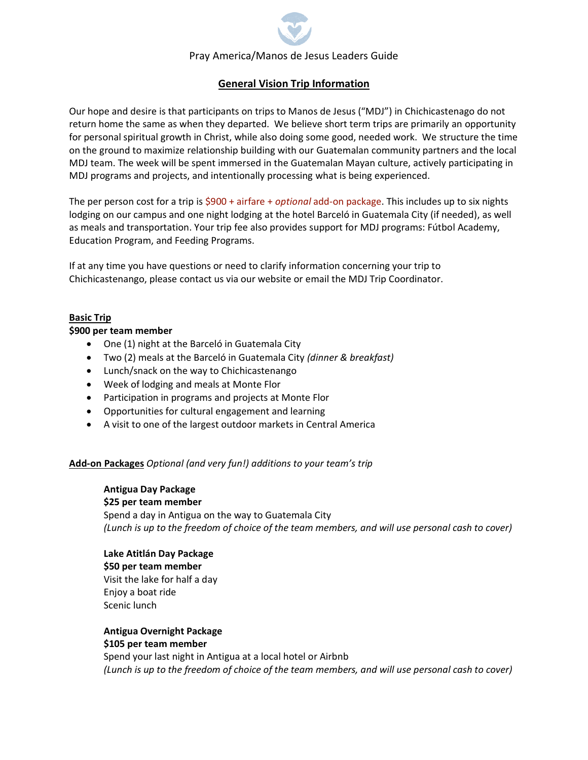# Pray America/Manos de Jesus Leaders Guide

# **General Vision Trip Information**

Our hope and desire is that participants on trips to Manos de Jesus ("MDJ") in Chichicastenago do not return home the same as when they departed. We believe short term trips are primarily an opportunity for personal spiritual growth in Christ, while also doing some good, needed work. We structure the time on the ground to maximize relationship building with our Guatemalan community partners and the local MDJ team. The week will be spent immersed in the Guatemalan Mayan culture, actively participating in MDJ programs and projects, and intentionally processing what is being experienced.

The per person cost for a trip is \$900 + airfare + *optional* add-on package. This includes up to six nights lodging on our campus and one night lodging at the hotel Barceló in Guatemala City (if needed), as well as meals and transportation. Your trip fee also provides support for MDJ programs: Fútbol Academy, Education Program, and Feeding Programs.

If at any time you have questions or need to clarify information concerning your trip to Chichicastenango, please contact us via our website or email the MDJ Trip Coordinator.

## **Basic Trip**

#### **\$900 per team member**

- One (1) night at the Barceló in Guatemala City
- Two (2) meals at the Barceló in Guatemala City *(dinner & breakfast)*
- Lunch/snack on the way to Chichicastenango
- Week of lodging and meals at Monte Flor
- Participation in programs and projects at Monte Flor
- Opportunities for cultural engagement and learning
- A visit to one of the largest outdoor markets in Central America

### **Add-on Packages** *Optional (and very fun!) additions to your team's trip*

**Antigua Day Package \$25 per team member** Spend a day in Antigua on the way to Guatemala City *(Lunch is up to the freedom of choice of the team members, and will use personal cash to cover)*

### **Lake Atitlán Day Package \$50 per team member** Visit the lake for half a day Enjoy a boat ride Scenic lunch

**Antigua Overnight Package \$105 per team member** 

Spend your last night in Antigua at a local hotel or Airbnb *(Lunch is up to the freedom of choice of the team members, and will use personal cash to cover)*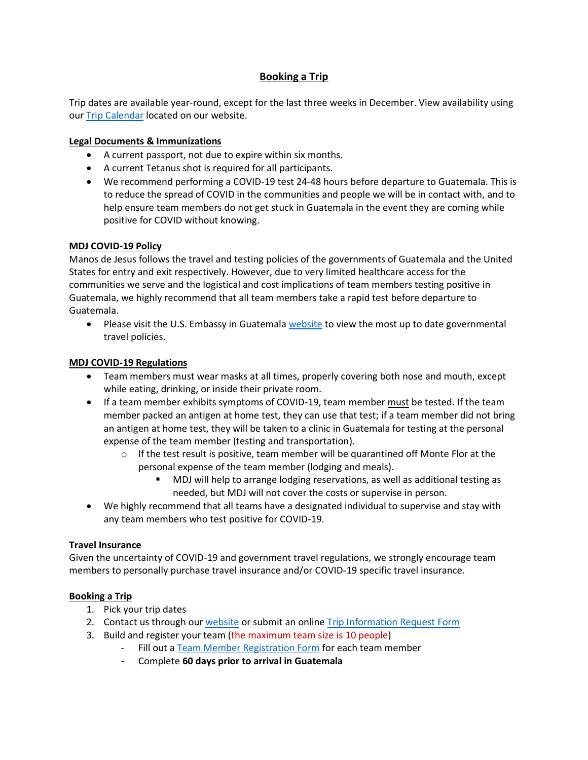# **Booking a Trip**

Trip dates are available year-round, except for the last three weeks in December. View availability using our [Trip Calendar](https://prayamerica.org/trip-calendar/) located on our website.

### **Legal Documents & Immunizations**

- A current passport, not due to expire within six months.
- A current Tetanus shot is required for all participants.
- We recommend performing a COVID-19 test 24-48 hours before departure to Guatemala. This is to reduce the spread of COVID in the communities and people we will be in contact with, and to help ensure team members do not get stuck in Guatemala in the event they are coming while positive for COVID without knowing.

#### **MDJ COVID-19 Policy**

Manos de Jesus follows the travel and testing policies of the governments of Guatemala and the United States for entry and exit respectively. However, due to very limited healthcare access for the communities we serve and the logistical and cost implications of team members testing positive in Guatemala, we highly recommend that all team members take a rapid test before departure to Guatemala.

Please visit the U.S. Embassy in Guatemala [website](https://gt.usembassy.gov/alert-covid-19-2/) to view the most up to date governmental travel policies.

### **MDJ COVID-19 Regulations**

- Team members must wear masks at all times, properly covering both nose and mouth, except while eating, drinking, or inside their private room.
- If a team member exhibits symptoms of COVID-19, team member must be tested. If the team member packed an antigen at home test, they can use that test; if a team member did not bring an antigen at home test, they will be taken to a clinic in Guatemala for testing at the personal expense of the team member (testing and transportation).
	- $\circ$  If the test result is positive, team member will be quarantined off Monte Flor at the personal expense of the team member (lodging and meals).
		- MDJ will help to arrange lodging reservations, as well as additional testing as needed, but MDJ will not cover the costs or supervise in person.
- We highly recommend that all teams have a designated individual to supervise and stay with any team members who test positive for COVID-19.

### **Travel Insurance**

Given the uncertainty of COVID-19 and government travel regulations, we strongly encourage team members to personally purchase travel insurance and/or COVID-19 specific travel insurance.

### **Booking a Trip**

- 1. Pick your trip dates
- 2. Contact us through our [website](https://prayamerica.org/contact-us/) or submit an online [Trip Information Request Form](https://prayamerica.org/mission-trips/trip-information-request-form/)
- 3. Build and register your team (the maximum team size is 10 people)
	- Fill out [a Team Member Registration Form](https://prayamerica.org/mission-trips/team-member-registration/) for each team member
	- Complete **60 days prior to arrival in Guatemala**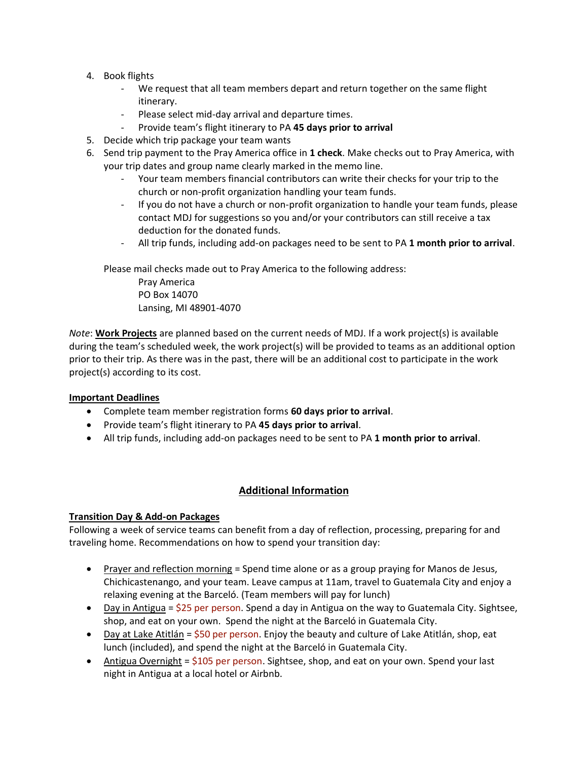- 4. Book flights
	- We request that all team members depart and return together on the same flight itinerary.
	- Please select mid-day arrival and departure times.
	- Provide team's flight itinerary to PA **45 days prior to arrival**
- 5. Decide which trip package your team wants
- 6. Send trip payment to the Pray America office in **1 check**. Make checks out to Pray America, with your trip dates and group name clearly marked in the memo line.
	- Your team members financial contributors can write their checks for your trip to the church or non-profit organization handling your team funds.
	- If you do not have a church or non-profit organization to handle your team funds, please contact MDJ for suggestions so you and/or your contributors can still receive a tax deduction for the donated funds.
	- All trip funds, including add-on packages need to be sent to PA **1 month prior to arrival**.

Please mail checks made out to Pray America to the following address:

Pray America PO Box 14070 Lansing, MI 48901-4070

*Note*: **Work Projects** are planned based on the current needs of MDJ. If a work project(s) is available during the team's scheduled week, the work project(s) will be provided to teams as an additional option prior to their trip. As there was in the past, there will be an additional cost to participate in the work project(s) according to its cost.

### **Important Deadlines**

- Complete team member registration forms **60 days prior to arrival**.
- Provide team's flight itinerary to PA **45 days prior to arrival**.
- All trip funds, including add-on packages need to be sent to PA **1 month prior to arrival**.

## **Additional Information**

### **Transition Day & Add-on Packages**

Following a week of service teams can benefit from a day of reflection, processing, preparing for and traveling home. Recommendations on how to spend your transition day:

- Prayer and reflection morning = Spend time alone or as a group praying for Manos de Jesus, Chichicastenango, and your team. Leave campus at 11am, travel to Guatemala City and enjoy a relaxing evening at the Barceló. (Team members will pay for lunch)
- Day in Antigua =  $$25$  per person. Spend a day in Antigua on the way to Guatemala City. Sightsee, shop, and eat on your own. Spend the night at the Barceló in Guatemala City.
- Day at Lake Atitlán  $=$  \$50 per person. Enjoy the beauty and culture of Lake Atitlán, shop, eat lunch (included), and spend the night at the Barceló in Guatemala City.
- Antigua Overnight =  $$105$  per person. Sightsee, shop, and eat on your own. Spend your last night in Antigua at a local hotel or Airbnb.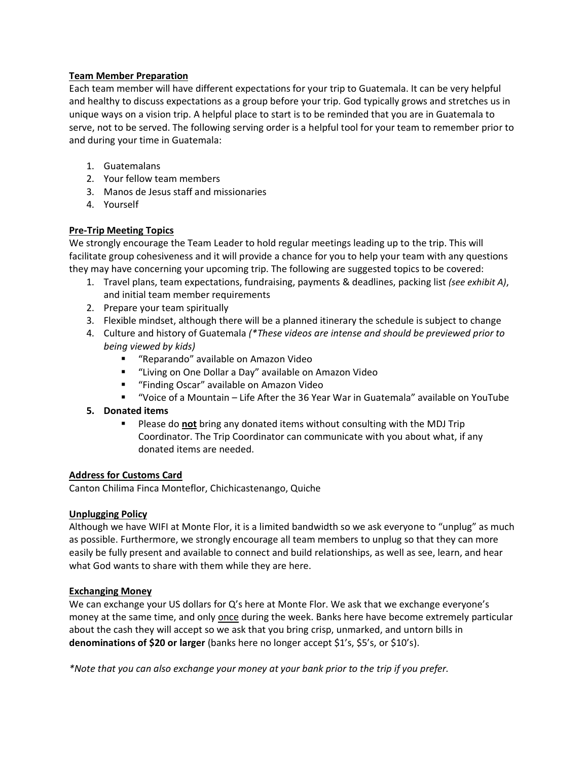## **Team Member Preparation**

Each team member will have different expectations for your trip to Guatemala. It can be very helpful and healthy to discuss expectations as a group before your trip. God typically grows and stretches us in unique ways on a vision trip. A helpful place to start is to be reminded that you are in Guatemala to serve, not to be served. The following serving order is a helpful tool for your team to remember prior to and during your time in Guatemala:

- 1. Guatemalans
- 2. Your fellow team members
- 3. Manos de Jesus staff and missionaries
- 4. Yourself

## **Pre-Trip Meeting Topics**

We strongly encourage the Team Leader to hold regular meetings leading up to the trip. This will facilitate group cohesiveness and it will provide a chance for you to help your team with any questions they may have concerning your upcoming trip. The following are suggested topics to be covered:

- 1. Travel plans, team expectations, fundraising, payments & deadlines, packing list *(see exhibit A)*, and initial team member requirements
- 2. Prepare your team spiritually
- 3. Flexible mindset, although there will be a planned itinerary the schedule is subject to change
- 4. Culture and history of Guatemala *(\*These videos are intense and should be previewed prior to being viewed by kids)*
	- "Reparando" available on Amazon Video
	- "Living on One Dollar a Day" available on Amazon Video
	- "Finding Oscar" available on Amazon Video
	- "Voice of a Mountain Life After the 36 Year War in Guatemala" available on YouTube

### **5. Donated items**

▪ Please do **not** bring any donated items without consulting with the MDJ Trip Coordinator. The Trip Coordinator can communicate with you about what, if any donated items are needed.

### **Address for Customs Card**

Canton Chilima Finca Monteflor, Chichicastenango, Quiche

### **Unplugging Policy**

Although we have WIFI at Monte Flor, it is a limited bandwidth so we ask everyone to "unplug" as much as possible. Furthermore, we strongly encourage all team members to unplug so that they can more easily be fully present and available to connect and build relationships, as well as see, learn, and hear what God wants to share with them while they are here.

### **Exchanging Money**

We can exchange your US dollars for Q's here at Monte Flor. We ask that we exchange everyone's money at the same time, and only once during the week. Banks here have become extremely particular about the cash they will accept so we ask that you bring crisp, unmarked, and untorn bills in **denominations of \$20 or larger** (banks here no longer accept \$1's, \$5's, or \$10's).

*\*Note that you can also exchange your money at your bank prior to the trip if you prefer.*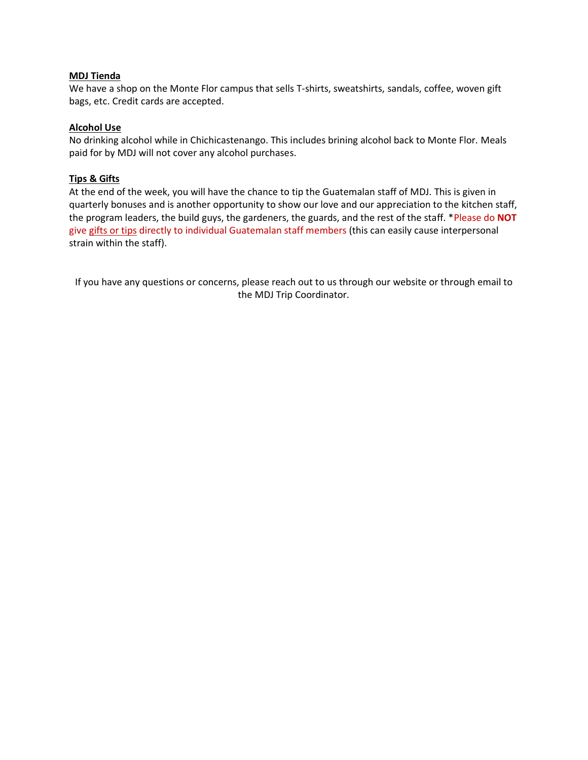#### **MDJ Tienda**

We have a shop on the Monte Flor campus that sells T-shirts, sweatshirts, sandals, coffee, woven gift bags, etc. Credit cards are accepted.

#### **Alcohol Use**

No drinking alcohol while in Chichicastenango. This includes brining alcohol back to Monte Flor. Meals paid for by MDJ will not cover any alcohol purchases.

### **Tips & Gifts**

At the end of the week, you will have the chance to tip the Guatemalan staff of MDJ. This is given in quarterly bonuses and is another opportunity to show our love and our appreciation to the kitchen staff, the program leaders, the build guys, the gardeners, the guards, and the rest of the staff. \*Please do **NOT** give gifts or tips directly to individual Guatemalan staff members (this can easily cause interpersonal strain within the staff).

If you have any questions or concerns, please reach out to us through our website or through email to the MDJ Trip Coordinator.